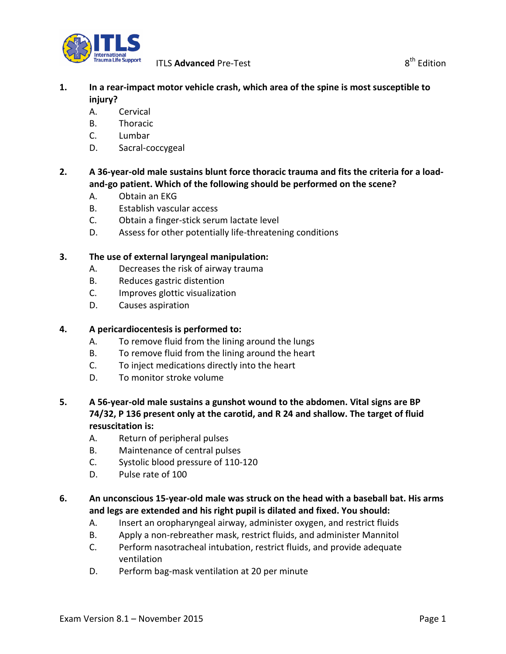

## **1. In a rear-impact motor vehicle crash, which area of the spine is most susceptible to injury?**

- A. Cervical
- B. Thoracic
- C. Lumbar
- D. Sacral-coccygeal

## **2. A 36-year-old male sustains blunt force thoracic trauma and fits the criteria for a loadand-go patient. Which of the following should be performed on the scene?**

- A. Obtain an EKG
- B. Establish vascular access
- C. Obtain a finger-stick serum lactate level
- D. Assess for other potentially life-threatening conditions

#### **3. The use of external laryngeal manipulation:**

- A. Decreases the risk of airway trauma
- B. Reduces gastric distention
- C. Improves glottic visualization
- D. Causes aspiration

#### **4. A pericardiocentesis is performed to:**

- A. To remove fluid from the lining around the lungs
- B. To remove fluid from the lining around the heart
- C. To inject medications directly into the heart
- D. To monitor stroke volume
- **5. A 56-year-old male sustains a gunshot wound to the abdomen. Vital signs are BP 74/32, P 136 present only at the carotid, and R 24 and shallow. The target of fluid resuscitation is:**
	- A. Return of peripheral pulses
	- B. Maintenance of central pulses
	- C. Systolic blood pressure of 110-120
	- D. Pulse rate of 100

## **6. An unconscious 15-year-old male was struck on the head with a baseball bat. His arms and legs are extended and his right pupil is dilated and fixed. You should:**

- A. Insert an oropharyngeal airway, administer oxygen, and restrict fluids
- B. Apply a non-rebreather mask, restrict fluids, and administer Mannitol
- C. Perform nasotracheal intubation, restrict fluids, and provide adequate ventilation
- D. Perform bag-mask ventilation at 20 per minute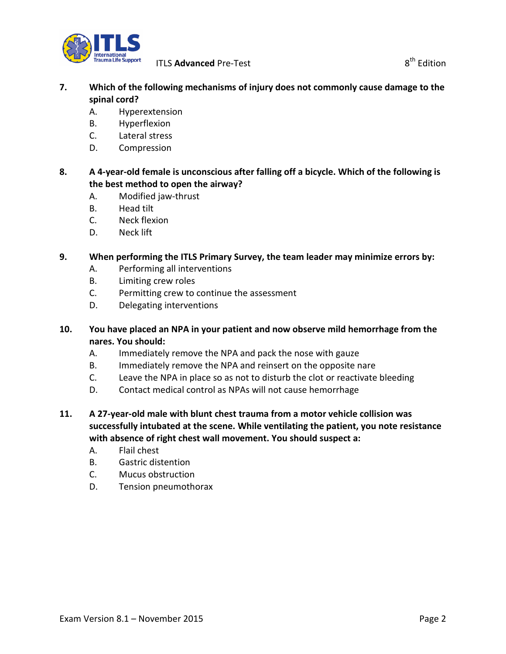

- **7. Which of the following mechanisms of injury does not commonly cause damage to the spinal cord?**
	- A. Hyperextension
	- B. Hyperflexion
	- C. Lateral stress
	- D. Compression
- **8. A 4-year-old female is unconscious after falling off a bicycle. Which of the following is the best method to open the airway?**
	- A. Modified jaw-thrust
	- B. Head tilt
	- C. Neck flexion
	- D. Neck lift

## **9. When performing the ITLS Primary Survey, the team leader may minimize errors by:**

- A. Performing all interventions
- B. Limiting crew roles
- C. Permitting crew to continue the assessment
- D. Delegating interventions
- **10. You have placed an NPA in your patient and now observe mild hemorrhage from the nares. You should:**
	- A. Immediately remove the NPA and pack the nose with gauze
	- B. Immediately remove the NPA and reinsert on the opposite nare
	- C. Leave the NPA in place so as not to disturb the clot or reactivate bleeding
	- D. Contact medical control as NPAs will not cause hemorrhage
- **11. A 27-year-old male with blunt chest trauma from a motor vehicle collision was successfully intubated at the scene. While ventilating the patient, you note resistance with absence of right chest wall movement. You should suspect a:** 
	- A. Flail chest
	- B. Gastric distention
	- C. Mucus obstruction
	- D. Tension pneumothorax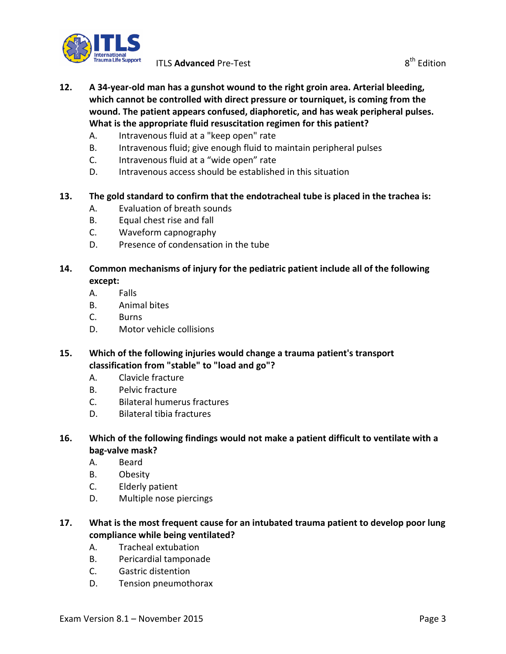

- **12. A 34-year-old man has a gunshot wound to the right groin area. Arterial bleeding, which cannot be controlled with direct pressure or tourniquet, is coming from the wound. The patient appears confused, diaphoretic, and has weak peripheral pulses. What is the appropriate fluid resuscitation regimen for this patient?**
	- A. Intravenous fluid at a "keep open" rate
	- B. Intravenous fluid; give enough fluid to maintain peripheral pulses
	- C. Intravenous fluid at a "wide open" rate
	- D. Intravenous access should be established in this situation

## **13. The gold standard to confirm that the endotracheal tube is placed in the trachea is:**

- A. Evaluation of breath sounds
- B. Equal chest rise and fall
- C. Waveform capnography
- D. Presence of condensation in the tube

#### **14. Common mechanisms of injury for the pediatric patient include all of the following except:**

- A. Falls
- B. Animal bites
- C. Burns
- D. Motor vehicle collisions
- **15. Which of the following injuries would change a trauma patient's transport classification from "stable" to "load and go"?**
	- A. Clavicle fracture
	- B. Pelvic fracture
	- C. Bilateral humerus fractures
	- D. Bilateral tibia fractures
- **16. Which of the following findings would not make a patient difficult to ventilate with a bag-valve mask?**
	- A. Beard
	- B. Obesity
	- C. Elderly patient
	- D. Multiple nose piercings
- **17. What is the most frequent cause for an intubated trauma patient to develop poor lung compliance while being ventilated?**
	- A. Tracheal extubation
	- B. Pericardial tamponade
	- C. Gastric distention
	- D. Tension pneumothorax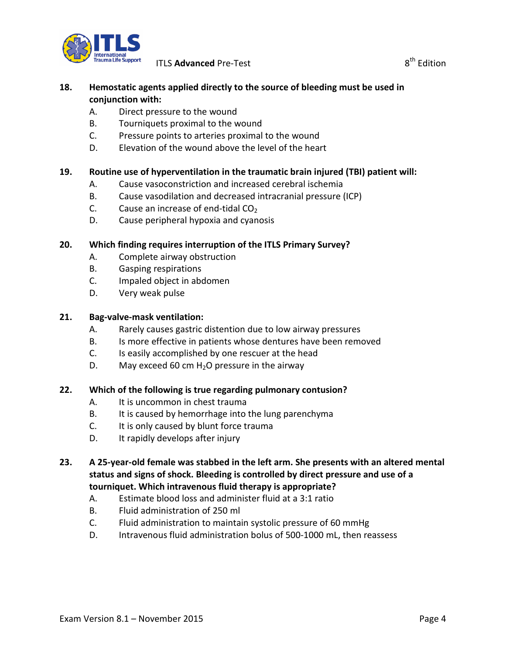

## **18. Hemostatic agents applied directly to the source of bleeding must be used in conjunction with:**

- A. Direct pressure to the wound
- B. Tourniquets proximal to the wound
- C. Pressure points to arteries proximal to the wound
- D. Elevation of the wound above the level of the heart

## **19. Routine use of hyperventilation in the traumatic brain injured (TBI) patient will:**

- A. Cause vasoconstriction and increased cerebral ischemia
- B. Cause vasodilation and decreased intracranial pressure (ICP)
- C. Cause an increase of end-tidal  $CO<sub>2</sub>$
- D. Cause peripheral hypoxia and cyanosis

## **20. Which finding requires interruption of the ITLS Primary Survey?**

- A. Complete airway obstruction
- B. Gasping respirations
- C. Impaled object in abdomen
- D. Very weak pulse

#### **21. Bag-valve-mask ventilation:**

- A. Rarely causes gastric distention due to low airway pressures
- B. Is more effective in patients whose dentures have been removed
- C. Is easily accomplished by one rescuer at the head
- D. May exceed 60 cm  $H_2O$  pressure in the airway

#### **22. Which of the following is true regarding pulmonary contusion?**

- A. It is uncommon in chest trauma
- B. It is caused by hemorrhage into the lung parenchyma
- C. It is only caused by blunt force trauma
- D. It rapidly develops after injury

## **23. A 25-year-old female was stabbed in the left arm. She presents with an altered mental status and signs of shock. Bleeding is controlled by direct pressure and use of a tourniquet. Which intravenous fluid therapy is appropriate?**

- A. Estimate blood loss and administer fluid at a 3:1 ratio
- B. Fluid administration of 250 ml
- C. Fluid administration to maintain systolic pressure of 60 mmHg
- D. Intravenous fluid administration bolus of 500-1000 mL, then reassess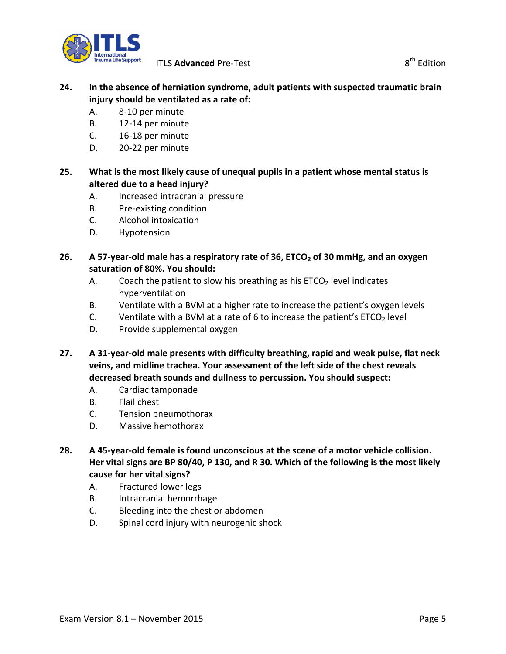

## **24. In the absence of herniation syndrome, adult patients with suspected traumatic brain injury should be ventilated as a rate of:**

- A. 8-10 per minute
- B. 12-14 per minute
- C. 16-18 per minute
- D. 20-22 per minute

## **25. What is the most likely cause of unequal pupils in a patient whose mental status is altered due to a head injury?**

- A. Increased intracranial pressure
- B. Pre-existing condition
- C. Alcohol intoxication
- D. Hypotension

## **26.** A 57-year-old male has a respiratory rate of 36, ETCO<sub>2</sub> of 30 mmHg, and an oxygen **saturation of 80%. You should:**

- A. Coach the patient to slow his breathing as his  $ETCO<sub>2</sub>$  level indicates hyperventilation
- B. Ventilate with a BVM at a higher rate to increase the patient's oxygen levels
- C. Ventilate with a BVM at a rate of 6 to increase the patient's  $ETCO<sub>2</sub>$  level
- D. Provide supplemental oxygen
- **27. A 31-year-old male presents with difficulty breathing, rapid and weak pulse, flat neck veins, and midline trachea. Your assessment of the left side of the chest reveals decreased breath sounds and dullness to percussion. You should suspect:**
	- A. Cardiac tamponade
	- B. Flail chest
	- C. Tension pneumothorax
	- D. Massive hemothorax
- **28. A 45-year-old female is found unconscious at the scene of a motor vehicle collision. Her vital signs are BP 80/40, P 130, and R 30. Which of the following is the most likely cause for her vital signs?**
	- A. Fractured lower legs
	- B. Intracranial hemorrhage
	- C. Bleeding into the chest or abdomen
	- D. Spinal cord injury with neurogenic shock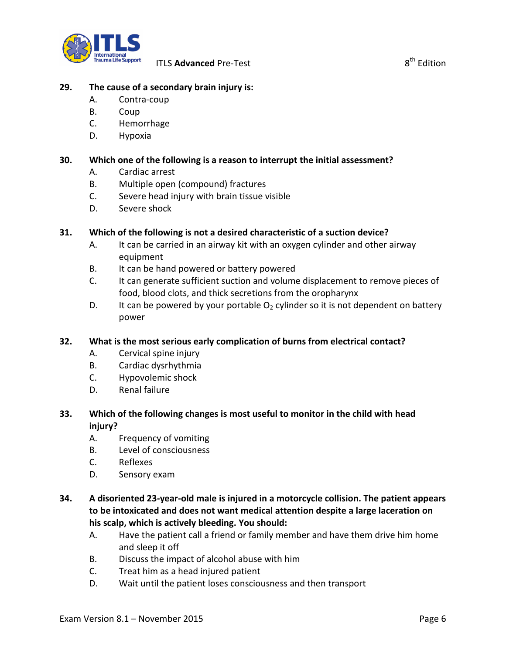

#### **29. The cause of a secondary brain injury is:**

- A. Contra-coup
- B. Coup
- C. Hemorrhage
- D. Hypoxia

#### **30. Which one of the following is a reason to interrupt the initial assessment?**

- A. Cardiac arrest
- B. Multiple open (compound) fractures
- C. Severe head injury with brain tissue visible
- D. Severe shock

#### **31. Which of the following is not a desired characteristic of a suction device?**

- A. It can be carried in an airway kit with an oxygen cylinder and other airway equipment
- B. It can be hand powered or battery powered
- C. It can generate sufficient suction and volume displacement to remove pieces of food, blood clots, and thick secretions from the oropharynx
- D. It can be powered by your portable  $O<sub>2</sub>$  cylinder so it is not dependent on battery power

#### **32. What is the most serious early complication of burns from electrical contact?**

- A. Cervical spine injury
- B. Cardiac dysrhythmia
- C. Hypovolemic shock
- D. Renal failure

## **33. Which of the following changes is most useful to monitor in the child with head injury?**

- A. Frequency of vomiting
- B. Level of consciousness
- C. Reflexes
- D. Sensory exam

## **34. A disoriented 23-year-old male is injured in a motorcycle collision. The patient appears to be intoxicated and does not want medical attention despite a large laceration on his scalp, which is actively bleeding. You should:**

- A. Have the patient call a friend or family member and have them drive him home and sleep it off
- B. Discuss the impact of alcohol abuse with him
- C. Treat him as a head injured patient
- D. Wait until the patient loses consciousness and then transport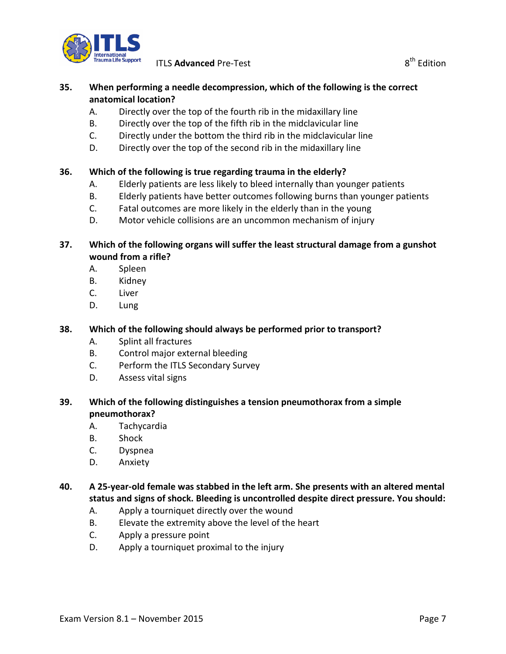

**ITLS Advanced** Pre-Test 8<sup>th</sup> Edition

## **35. When performing a needle decompression, which of the following is the correct anatomical location?**

- A. Directly over the top of the fourth rib in the midaxillary line
- B. Directly over the top of the fifth rib in the midclavicular line
- C. Directly under the bottom the third rib in the midclavicular line
- D. Directly over the top of the second rib in the midaxillary line

## **36. Which of the following is true regarding trauma in the elderly?**

- A. Elderly patients are less likely to bleed internally than younger patients
- B. Elderly patients have better outcomes following burns than younger patients
- C. Fatal outcomes are more likely in the elderly than in the young
- D. Motor vehicle collisions are an uncommon mechanism of injury

## **37. Which of the following organs will suffer the least structural damage from a gunshot wound from a rifle?**

- A. Spleen
- B. Kidney
- C. Liver
- D. Lung

## **38. Which of the following should always be performed prior to transport?**

- A. Splint all fractures
- B. Control major external bleeding
- C. Perform the ITLS Secondary Survey
- D. Assess vital signs

## **39. Which of the following distinguishes a tension pneumothorax from a simple pneumothorax?**

- A. Tachycardia
- B. Shock
- C. Dyspnea
- D. Anxiety

#### **40. A 25-year-old female was stabbed in the left arm. She presents with an altered mental status and signs of shock. Bleeding is uncontrolled despite direct pressure. You should:**

- A. Apply a tourniquet directly over the wound
- B. Elevate the extremity above the level of the heart
- C. Apply a pressure point
- D. Apply a tourniquet proximal to the injury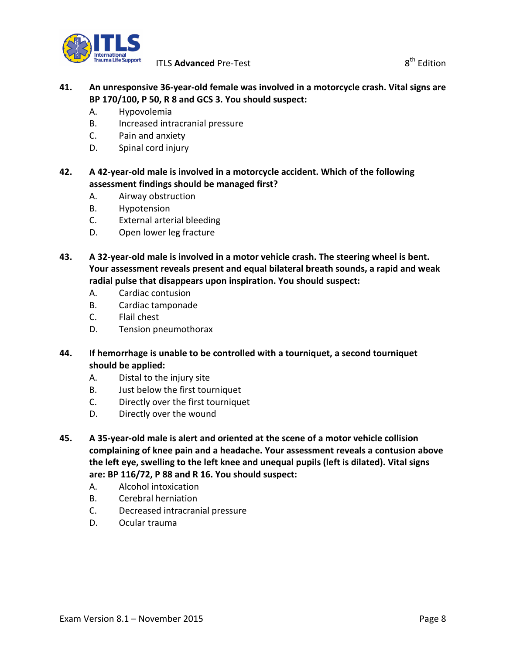

## **41. An unresponsive 36-year-old female was involved in a motorcycle crash. Vital signs are BP 170/100, P 50, R 8 and GCS 3. You should suspect:**

- A. Hypovolemia
- B. Increased intracranial pressure
- C. Pain and anxiety
- D. Spinal cord injury

## **42. A 42-year-old male is involved in a motorcycle accident. Which of the following assessment findings should be managed first?**

- A. Airway obstruction
- B. Hypotension
- C. External arterial bleeding
- D. Open lower leg fracture
- **43. A 32-year-old male is involved in a motor vehicle crash. The steering wheel is bent. Your assessment reveals present and equal bilateral breath sounds, a rapid and weak radial pulse that disappears upon inspiration. You should suspect:**
	- A. Cardiac contusion
	- B. Cardiac tamponade
	- C. Flail chest
	- D. Tension pneumothorax
- **44. If hemorrhage is unable to be controlled with a tourniquet, a second tourniquet should be applied:**
	- A. Distal to the injury site
	- B. Just below the first tourniquet
	- C. Directly over the first tourniquet
	- D. Directly over the wound
- **45. A 35-year-old male is alert and oriented at the scene of a motor vehicle collision complaining of knee pain and a headache. Your assessment reveals a contusion above the left eye, swelling to the left knee and unequal pupils (left is dilated). Vital signs are: BP 116/72, P 88 and R 16. You should suspect:**
	- A. Alcohol intoxication
	- B. Cerebral herniation
	- C. Decreased intracranial pressure
	- D. Ocular trauma